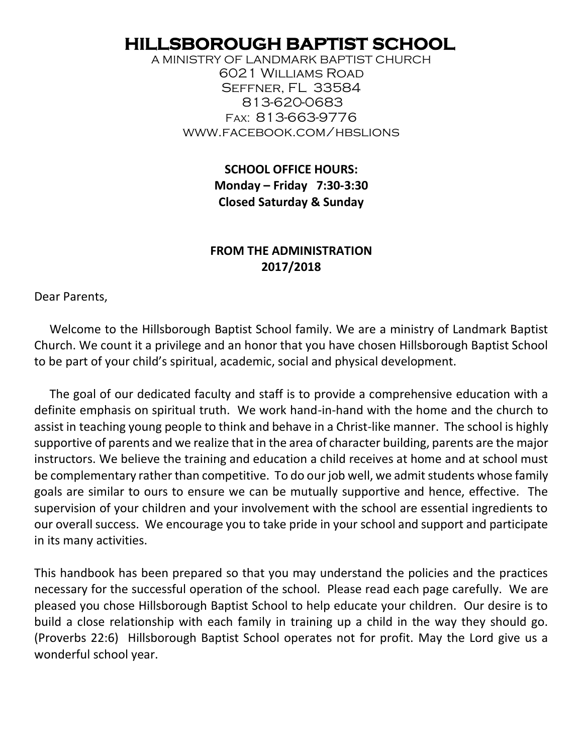# **HILLSBOROUGH BAPTIST SCHOOL**

A MINISTRY OF LANDMARK BAPTIST CHURCH 6021 Williams Road Seffner, FL 33584 813-620-0683 Fax: 813-663-9776 www.facebook.com/hbslions

> **SCHOOL OFFICE HOURS: Monday – Friday 7:30-3:30 Closed Saturday & Sunday**

## **FROM THE ADMINISTRATION 2017/2018**

Dear Parents,

 Welcome to the Hillsborough Baptist School family. We are a ministry of Landmark Baptist Church. We count it a privilege and an honor that you have chosen Hillsborough Baptist School to be part of your child's spiritual, academic, social and physical development.

 The goal of our dedicated faculty and staff is to provide a comprehensive education with a definite emphasis on spiritual truth. We work hand-in-hand with the home and the church to assist in teaching young people to think and behave in a Christ-like manner. The school is highly supportive of parents and we realize that in the area of character building, parents are the major instructors. We believe the training and education a child receives at home and at school must be complementary rather than competitive. To do our job well, we admit students whose family goals are similar to ours to ensure we can be mutually supportive and hence, effective. The supervision of your children and your involvement with the school are essential ingredients to our overall success. We encourage you to take pride in your school and support and participate in its many activities.

This handbook has been prepared so that you may understand the policies and the practices necessary for the successful operation of the school. Please read each page carefully. We are pleased you chose Hillsborough Baptist School to help educate your children. Our desire is to build a close relationship with each family in training up a child in the way they should go. (Proverbs 22:6) Hillsborough Baptist School operates not for profit. May the Lord give us a wonderful school year.